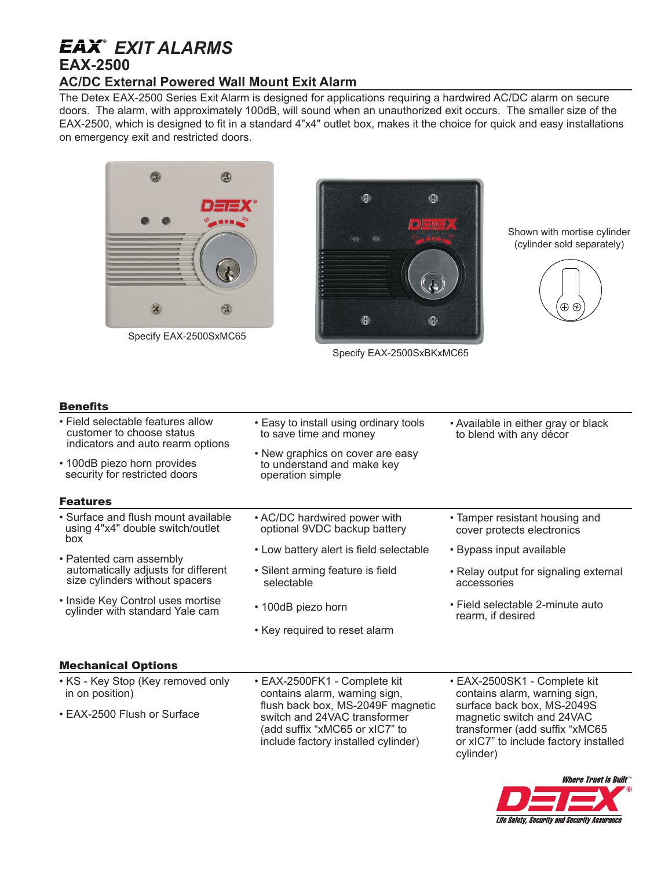# *EXIT ALARMS*

## **EAX-2500**

### **AC/DC External Powered Wall Mount Exit Alarm**

The Detex EAX-2500 Series Exit Alarm is designed for applications requiring a hardwired AC/DC alarm on secure doors. The alarm, with approximately 100dB, will sound when an unauthorized exit occurs. The smaller size of the EAX-2500, which is designed to fit in a standard 4"x4" outlet box, makes it the choice for quick and easy installations on emergency exit and restricted doors.



Specify EAX-2500SxMC65



Specify EAX-2500SxBKxMC65

Shown with mortise cylinder (cylinder sold separately)



#### **Benefits**

- Field selectable features allow customer to choose status indicators and auto rearm options
- 100dB piezo horn provides security for restricted doors

#### Features

- Surface and flush mount available using 4"x4" double switch/outlet box
- Patented cam assembly automatically adjusts for different size cylinders without spacers
- Inside Key Control uses mortise cylinder with standard Yale cam
- 

• Easy to install using ordinary tools

• New graphics on cover are easy to understand and make key

to save time and money

operation simple

- AC/DC hardwired power with optional 9VDC backup battery
- Low battery alert is field selectable
- Silent arming feature is field selectable
- 100dB piezo horn
- Key required to reset alarm
- Available in either gray or black to blend with any décor
- Tamper resistant housing and cover protects electronics
- Bypass input available
- Relay output for signaling external accessories
- Field selectable 2-minute auto rearm, if desired

#### Mechanical Options

• KS - Key Stop (Key removed only in on position) • EAX-2500 Flush or Surface • EAX-2500SK1 - Complete kit contains alarm, warning sign, surface back box, MS-2049S magnetic switch and 24VAC transformer (add suffix "xMC65 or xIC7" to include factory installed cylinder) • EAX-2500FK1 - Complete kit contains alarm, warning sign, flush back box, MS-2049F magnetic switch and 24VAC transformer (add suffix "xMC65 or xIC7" to include factory installed cylinder)